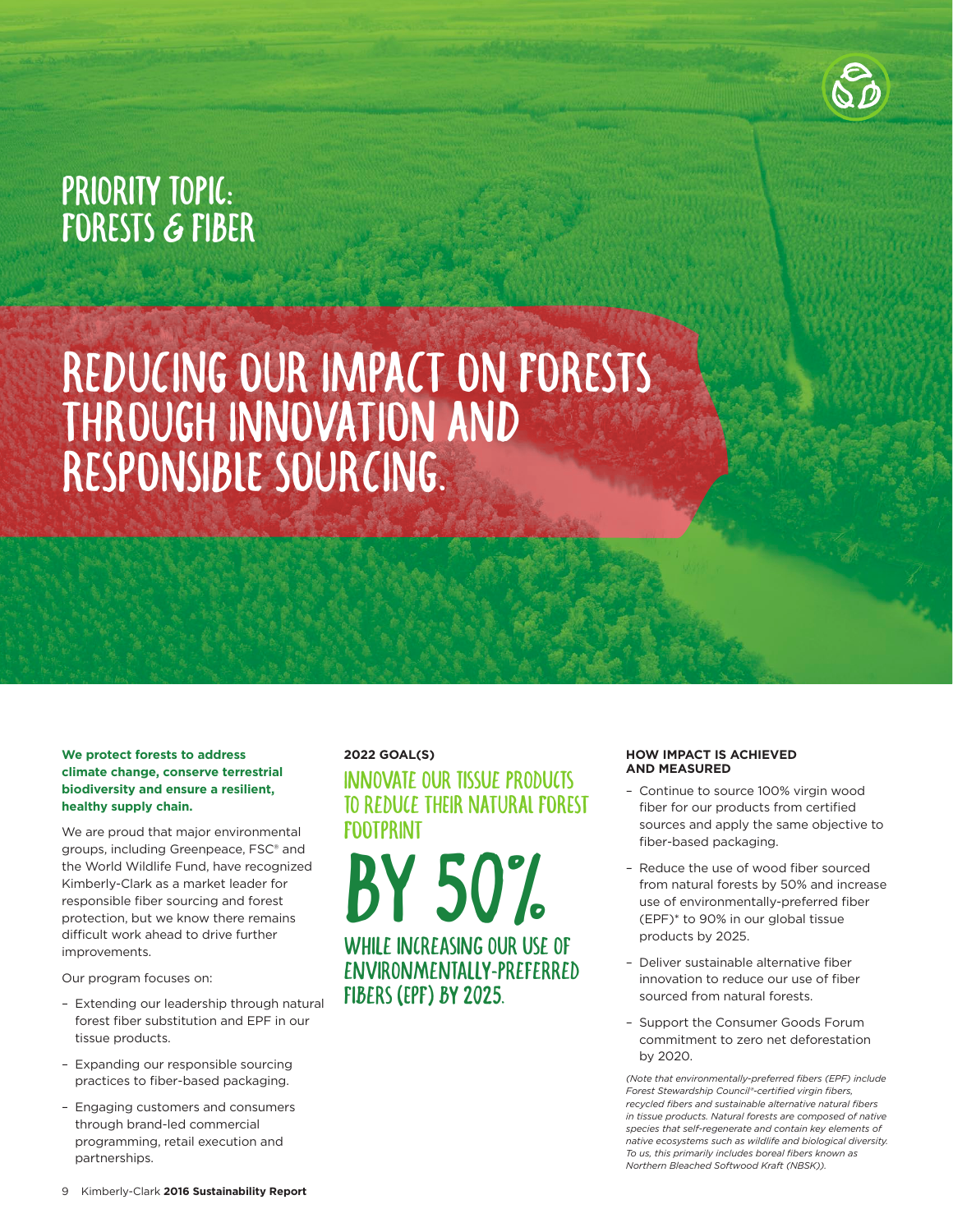

## PRIORITY TOPIC: FORESTS & FIBER

# REDUCING OUR IMPACT ON FORESTS THROUGH INNOVATION AND RESPONSIBLE SOURCING.

#### **We protect forests to address climate change, conserve terrestrial biodiversity and ensure a resilient, healthy supply chain.**

We are proud that major environmental groups, including Greenpeace, FSC® and the World Wildlife Fund, have recognized Kimberly-Clark as a market leader for responsible fiber sourcing and forest protection, but we know there remains difficult work ahead to drive further improvements.

Our program focuses on:

- Extending our leadership through natural forest fiber substitution and EPF in our tissue products.
- Expanding our responsible sourcing practices to fiber-based packaging.
- Engaging customers and consumers through brand-led commercial programming, retail execution and partnerships.

## **2022 GOAL(S)** Innovate our tissue products to reduce THEIR NATURAL FOREST FOOTPRINT

BY 50% while increasing our use of environmentally-preferred fibers (EPF) by 2025.

#### **HOW IMPACT IS ACHIEVED AND MEASURED**

- Continue to source 100% virgin wood fiber for our products from certified sources and apply the same objective to fiber-based packaging.
- Reduce the use of wood fiber sourced from natural forests by 50% and increase use of environmentally-preferred fiber (EPF)\* to 90% in our global tissue products by 2025.
- Deliver sustainable alternative fiber innovation to reduce our use of fiber sourced from natural forests.
- Support the Consumer Goods Forum commitment to zero net deforestation by 2020.

*(Note that environmentally-preferred fibers (EPF) include Forest Stewardship Council®-certified virgin fibers, recycled fibers and sustainable alternative natural fibers in tissue products. Natural forests are composed of native species that self-regenerate and contain key elements of native ecosystems such as wildlife and biological diversity. To us, this primarily includes boreal fibers known as Northern Bleached Softwood Kraft (NBSK)).*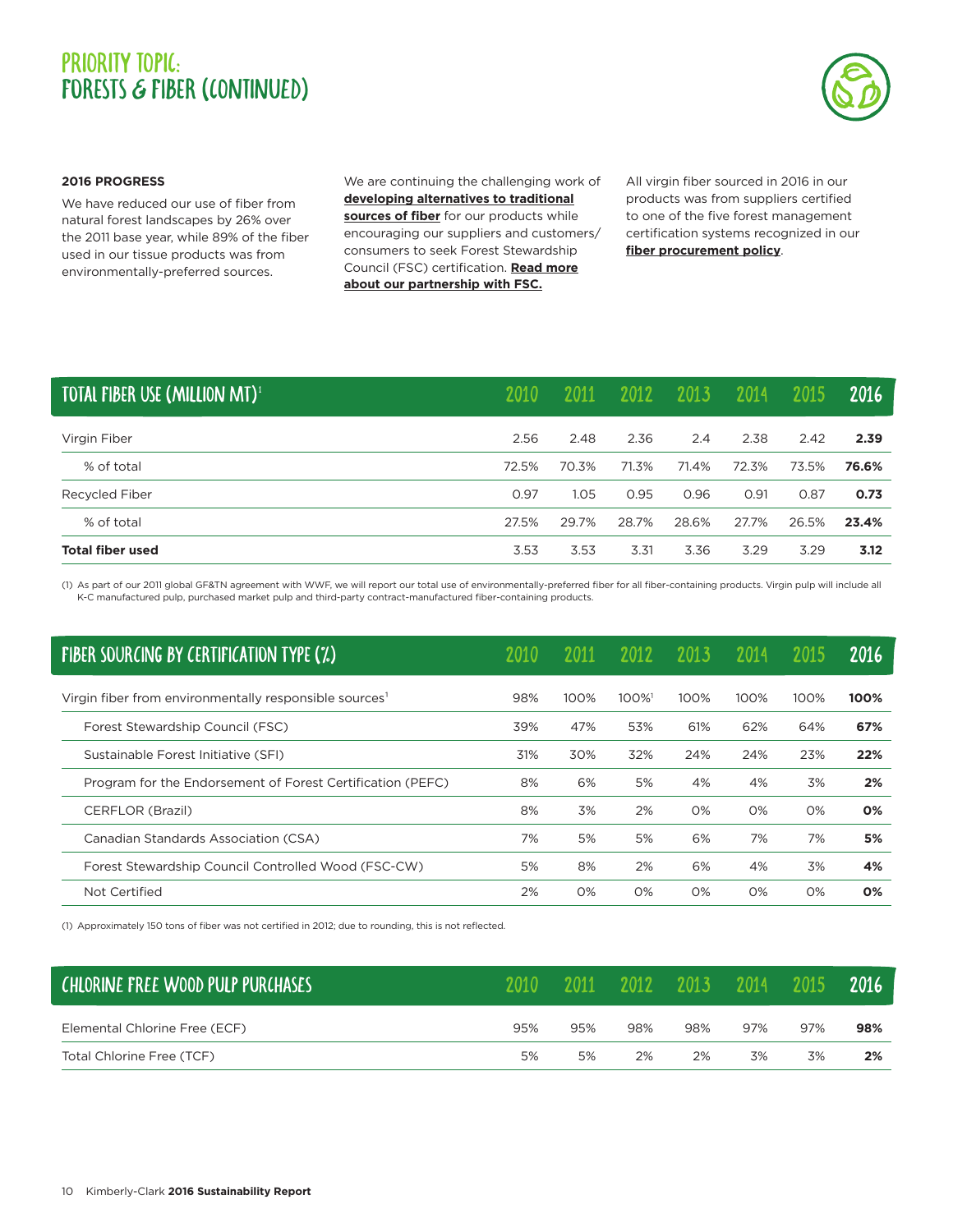### PRIORITY TOPIC: FORESTS & FIBER (CONTINUED)



#### **2016 PROGRESS**

We have reduced our use of fiber from natural forest landscapes by 26% over the 2011 base year, while 89% of the fiber used in our tissue products was from environmentally-preferred sources.

We are continuing the challenging work of **[developing alternatives to traditional](https://www.sustainability2022.com/our-stories/to-benefit-generations) [sources of fiber](https://www.sustainability2022.com/our-stories/to-benefit-generations)** for our products while encouraging our suppliers and customers/ consumers to seek Forest Stewardship Council (FSC) certification. **[Read more](https://www.sustainability2022.com/our-stories/powerful-partnerships) [about our partnership with FSC.](https://www.sustainability2022.com/our-stories/powerful-partnerships)**

All virgin fiber sourced in 2016 in our products was from suppliers certified to one of the five forest management certification systems recognized in our **[fiber procurement policy](http://www.cms.kimberly-clark.com/umbracoimages/UmbracoFileMedia/Fiber_Procurement_Policy_umbracoFile.pdf)**.

| TOTAL FIBER USE (MILLION MT) <sup>1</sup> | 2010  | 2011  | 2012  | 2013  | 2014  | 2015  | 2016  |
|-------------------------------------------|-------|-------|-------|-------|-------|-------|-------|
| Virgin Fiber                              | 2.56  | 2.48  | 2.36  | 2.4   | 2.38  | 2.42  | 2.39  |
| % of total                                | 72.5% | 70.3% | 71.3% | 71.4% | 72.3% | 73.5% | 76.6% |
| Recycled Fiber                            | 0.97  | 1.05  | 0.95  | 0.96  | 0.91  | 0.87  | 0.73  |
| % of total                                | 27.5% | 29.7% | 28.7% | 28.6% | 27.7% | 26.5% | 23.4% |
| <b>Total fiber used</b>                   | 3.53  | 3.53  | 3.31  | 3.36  | 3.29  | 3.29  | 3.12  |

(1) As part of our 2011 global GF&TN agreement with WWF, we will report our total use of environmentally-preferred fiber for all fiber-containing products. Virgin pulp will include all K-C manufactured pulp, purchased market pulp and third-party contract-manufactured fiber-containing products.

| <b>FIBER SOURCING BY CERTIFICATION TYPE (%)</b>                    |     |      | 2012 | 201   | 2014  |      | 2016 |
|--------------------------------------------------------------------|-----|------|------|-------|-------|------|------|
| Virgin fiber from environmentally responsible sources <sup>1</sup> | 98% | 100% | 100% | 100%  | 100%  | 100% | 100% |
| Forest Stewardship Council (FSC)                                   | 39% | 47%  | 53%  | 61%   | 62%   | 64%  | 67%  |
| Sustainable Forest Initiative (SFI)                                | 31% | 30%  | 32%  | 24%   | 24%   | 23%  | 22%  |
| Program for the Endorsement of Forest Certification (PEFC)         | 8%  | 6%   | 5%   | 4%    | 4%    | 3%   | 2%   |
| CERFLOR (Brazil)                                                   | 8%  | 3%   | 2%   | $O\%$ | $O\%$ | 0%   | 0%   |
| Canadian Standards Association (CSA)                               | 7%  | 5%   | 5%   | 6%    | 7%    | 7%   | 5%   |
| Forest Stewardship Council Controlled Wood (FSC-CW)                | 5%  | 8%   | 2%   | 6%    | 4%    | 3%   | 4%   |
| Not Certified                                                      | 2%  | 0%   | O%   | $O\%$ | $O\%$ | 0%   | 0%   |
|                                                                    |     |      |      |       |       |      |      |

(1) Approximately 150 tons of fiber was not certified in 2012; due to rounding, this is not reflected.

| CHLORINE FREE WOOD PULP PURCHASES |     | 2011 | 2012 | 2013 | 2014 | 2015 | 2016 |
|-----------------------------------|-----|------|------|------|------|------|------|
| Elemental Chlorine Free (ECF)     | 95% | 95%  | 98%  | 98%  | 97%  | 97%  | 98%  |
| Total Chlorine Free (TCF)         | 5%  | 5%   | 2%   | 2%   | 3%   | 3%   | 2%   |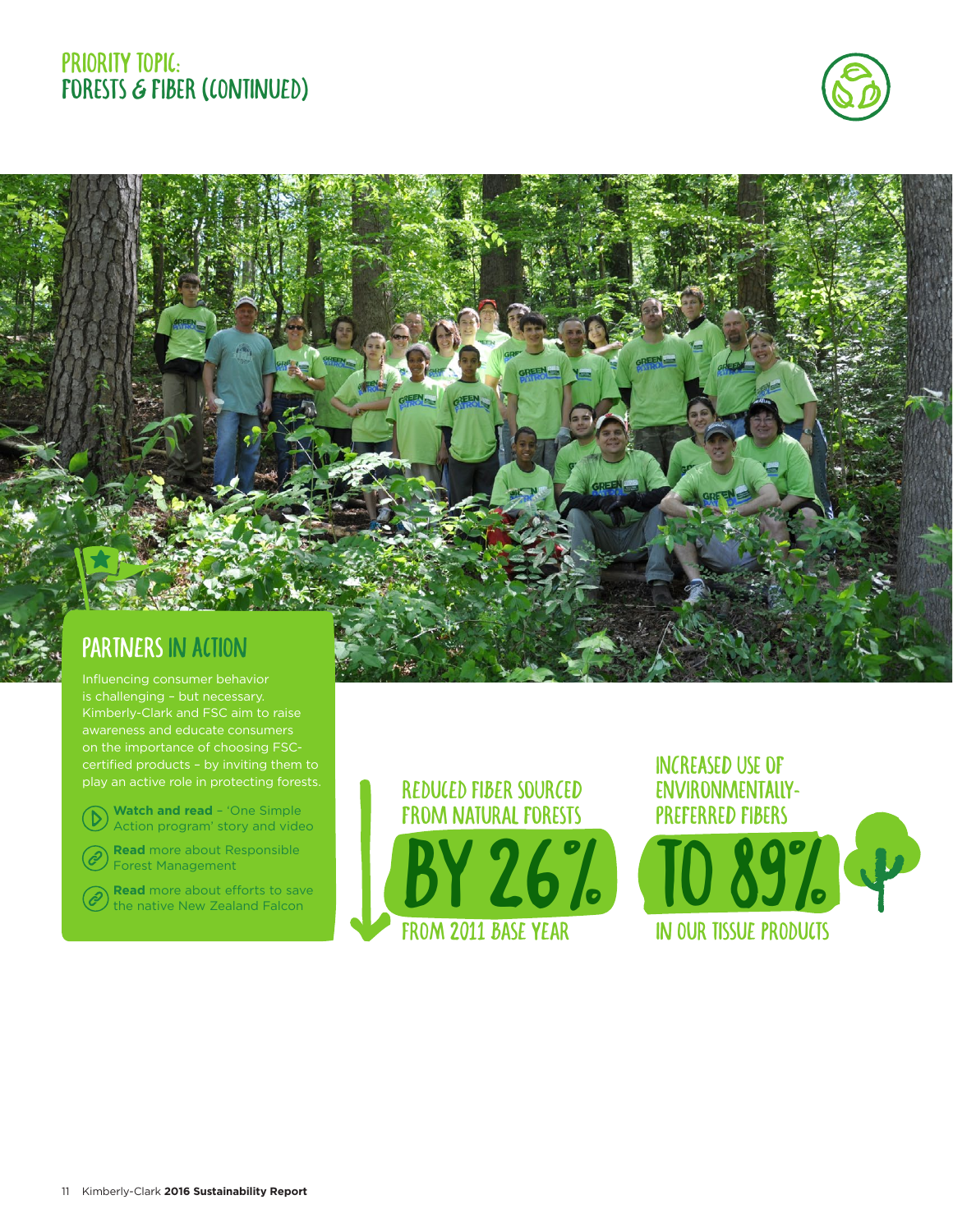#### PRIORITY TOPIC: FORESTS & FIBER (CONTINUED)



## Partners In Action

is challenging – but necessary. Kimberly-Clark and FSC aim to raise awareness and educate consumers play an active role in protecting forests.

**Watch and read** – 'One Simple D [Action program' story and video](https://www.sustainability2022.com/our-stories/one-simple-action)

**Read** [more about Responsible](https://www.sustainability2022.com/our-stories/responsible-forest-management)  ê Forest Management

**Read** more about efforts to save  $(\mathscr{E})$ [the native New Zealand Falcon](https://www.sustainability2022.com/our-stories/saving-the-karearea)